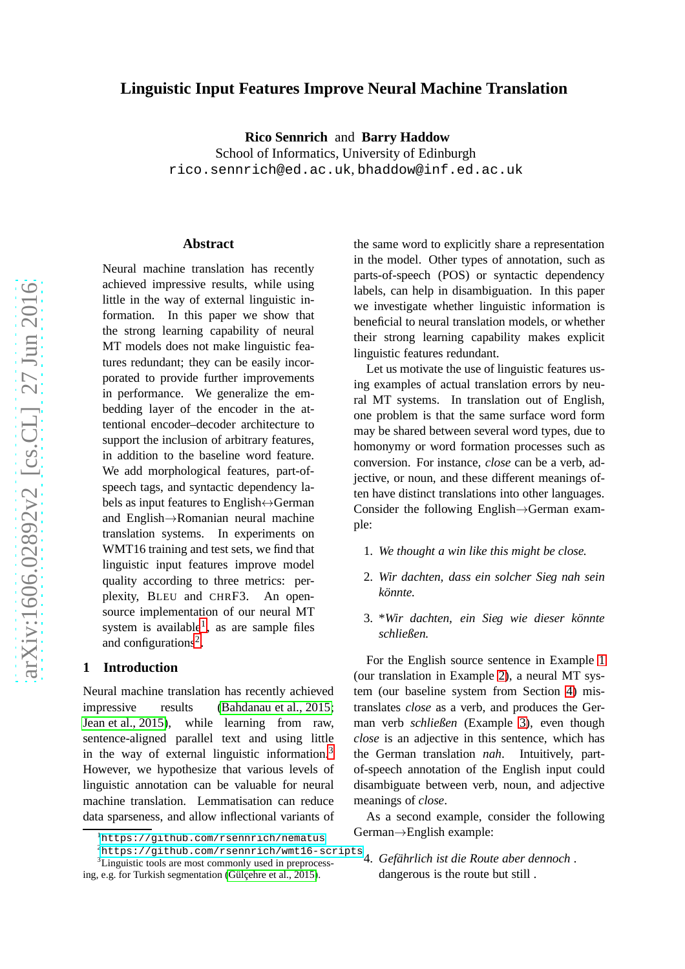# **Linguistic Input Features Improve Neural Machine Translation**

**Rico Sennrich** and **Barry Haddow**

School of Informatics, University of Edinburgh rico.sennrich@ed.ac.uk , bhaddow@inf.ed.ac.uk

#### **Abstract**

Neural machine translation has recently achieved impressive results, while using little in the way of external linguistic information. In this paper we show that the strong learning capability of neural MT models does not make linguistic features redundant; they can be easily incorporated to provide further improvements in performance. We generalize the embedding layer of the encoder in the attentional encoder–decoder architecture to support the inclusion of arbitrary features, in addition to the baseline word feature. We add morphological features, part-ofspeech tags, and syntactic dependency labels as input features to English $\leftrightarrow$ German and English →Romanian neural machine translation systems. In experiments on WMT16 training and test sets, we find that linguistic input features improve model quality according to three metrics: perplexity, BLEU and CHRF3. An opensource implementation of our neural MT system is available<sup>[1](#page-0-0)</sup>, as are sample files and configurations<sup>[2](#page-0-1)</sup>.

#### **1 Introduction**

Neural machine translation has recently achieved impressive results [\(Bahdanau et al., 2015;](#page-7-0) [Jean et al., 2015\)](#page-7-1), while learning from raw, sentence-aligned parallel text and using little in the way of external linguistic information. [3](#page-0-2) However, we hypothesize that various levels of linguistic annotation can be valuable for neural machine translation. Lemmatisation can reduce data sparseness, and allow inflectional variants of

the same word to explicitly share a representation in the model. Other types of annotation, such as parts-of-speech (POS) or syntactic dependency labels, can help in disambiguation. In this paper we investigate whether linguistic information is beneficial to neural translation models, or whether their strong learning capability makes explicit linguistic features redundant.

Let us motivate the use of linguistic features using examples of actual translation errors by neural MT systems. In translation out of English, one problem is that the same surface word form may be shared between several word types, due to homonymy or word formation processes such as conversion. For instance, *close* can be a verb, adjective, or noun, and these different meanings often have distinct translations into other languages. Consider the following English→German example:

- <span id="page-0-4"></span><span id="page-0-3"></span>1. *We thought a win like this might be close.*
- <span id="page-0-5"></span>2. *Wir dachten, dass ein solcher Sieg nah sein könnte.*
- 3. \**Wir dachten, ein Sieg wie dieser könnte schließen.*

For the English source sentence in Example [1](#page-0-3) (our translation in Example [2\)](#page-0-4), a neural MT system (our baseline system from Section [4\)](#page-2-0) mistranslates *close* as a verb, and produces the German verb *schließen* (Example [3\)](#page-0-5), even though *close* is an adjective in this sentence, which has the German translation *nah*. Intuitively, partof-speech annotation of the English input could disambiguate between verb, noun, and adjective meanings of *close* .

<span id="page-0-6"></span>As a second example, consider the following German →English example:

<sup>&</sup>lt;sup>1</sup><https://github.com/rsennrich/nematus>

<span id="page-0-0"></span> $^{2}$ <https://github.com/rsennrich/wmt16-scripts>

ing, e.g. for Turkish segmentation [\(Gülçehre et al., 2015\)](#page-7-2).

<span id="page-0-2"></span><span id="page-0-1"></span><sup>3</sup>Linguistic tools are most commonly used in preprocess-4. *Gefährlich ist die Route aber dennoch .* dangerous is the route but still .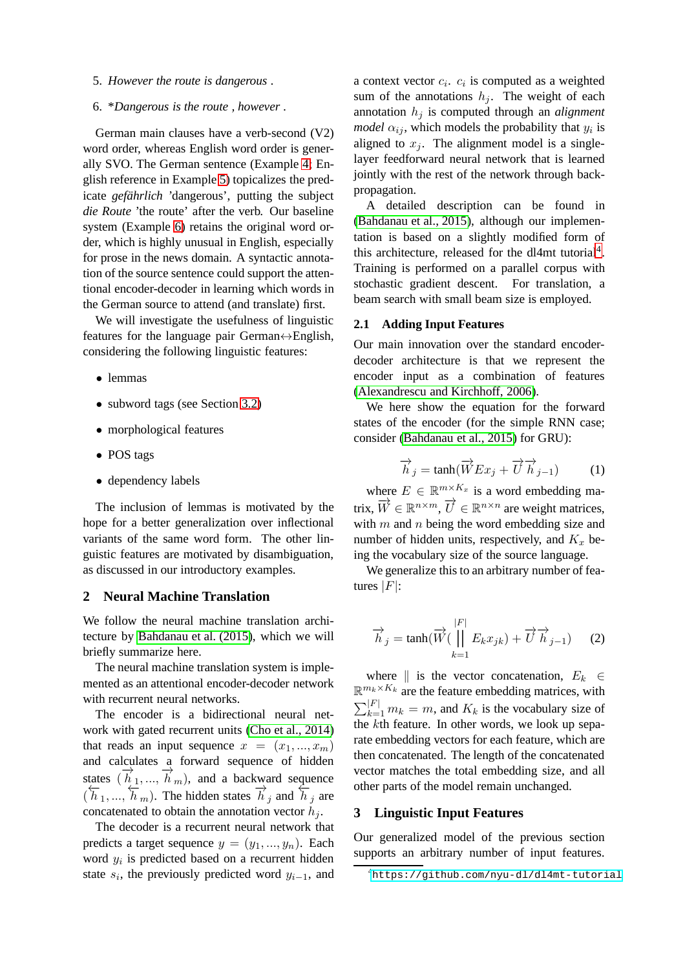<span id="page-1-1"></span><span id="page-1-0"></span>5. *However the route is dangerous .*

#### 6. \**Dangerous is the route , however .*

German main clauses have a verb-second (V2) word order, whereas English word order is generally SVO. The German sentence (Example [4;](#page-0-6) English reference in Example [5\)](#page-1-0) topicalizes the predicate *gefährlich* 'dangerous', putting the subject *die Route* 'the route' after the verb. Our baseline system (Example [6\)](#page-1-1) retains the original word order, which is highly unusual in English, especially for prose in the news domain. A syntactic annotation of the source sentence could support the attentional encoder-decoder in learning which words in the German source to attend (and translate) first.

We will investigate the usefulness of linguistic features for the language pair German $\leftrightarrow$ English, considering the following linguistic features:

- lemmas
- subword tags (see Section [3.2\)](#page-2-1)
- morphological features
- POS tags
- dependency labels

The inclusion of lemmas is motivated by the hope for a better generalization over inflectional variants of the same word form. The other linguistic features are motivated by disambiguation, as discussed in our introductory examples.

#### **2 Neural Machine Translation**

We follow the neural machine translation architecture by [Bahdanau et al. \(2015\)](#page-7-0), which we will briefly summarize here.

The neural machine translation system is implemented as an attentional encoder-decoder network with recurrent neural networks.

The encoder is a bidirectional neural network with gated recurrent units [\(Cho et al., 2014\)](#page-7-3) that reads an input sequence  $x = (x_1, ..., x_m)$ and calculates a forward sequence of hidden states  $(\vec{h}_1, ..., \vec{h}_m)$ , and a backward sequence  $(\overline{h}_1, ..., \overline{h}_m)$ . The hidden states  $\overline{h}_j$  and  $\overline{h}_j$  are concatenated to obtain the annotation vector  $h_i$ .

The decoder is a recurrent neural network that predicts a target sequence  $y = (y_1, ..., y_n)$ . Each word  $y_i$  is predicted based on a recurrent hidden state  $s_i$ , the previously predicted word  $y_{i-1}$ , and

a context vector  $c_i$ .  $c_i$  is computed as a weighted sum of the annotations  $h_i$ . The weight of each annotation  $h_i$  is computed through an *alignment model*  $\alpha_{ij}$ , which models the probability that  $y_i$  is aligned to  $x_j$ . The alignment model is a singlelayer feedforward neural network that is learned jointly with the rest of the network through backpropagation.

A detailed description can be found in [\(Bahdanau et al., 2015\)](#page-7-0), although our implementation is based on a slightly modified form of this architecture, released for the dl[4](#page-1-2)mt tutorial<sup>4</sup>. Training is performed on a parallel corpus with stochastic gradient descent. For translation, a beam search with small beam size is employed.

### **2.1 Adding Input Features**

Our main innovation over the standard encoderdecoder architecture is that we represent the encoder input as a combination of features [\(Alexandrescu and Kirchhoff, 2006\)](#page-7-4).

We here show the equation for the forward states of the encoder (for the simple RNN case; consider [\(Bahdanau et al., 2015\)](#page-7-0) for GRU):

$$
\overrightarrow{h}_j = \tanh(\overrightarrow{W}Ex_j + \overrightarrow{U}\overrightarrow{h}_{j-1})
$$
 (1)

where  $E \in \mathbb{R}^{m \times K_x}$  is a word embedding matrix,  $\overrightarrow{W} \in \mathbb{R}^{n \times m}$ ,  $\overrightarrow{U} \in \mathbb{R}^{n \times n}$  are weight matrices, with  $m$  and  $n$  being the word embedding size and number of hidden units, respectively, and  $K_x$  being the vocabulary size of the source language.

We generalize this to an arbitrary number of features  $|F|$ :

$$
\overrightarrow{h}_j = \tanh(\overrightarrow{W}(\prod_{k=1}^{|F|} E_k x_{jk}) + \overrightarrow{U} \overrightarrow{h}_{j-1}) \qquad (2)
$$

where  $\parallel$  is the vector concatenation,  $E_k \in$  $\mathbb{R}^{m_k \times K_k}$  are the feature embedding matrices, with  $\sum_{k=1}^{|F|} m_k = m$ , and  $K_k$  is the vocabulary size of the kth feature. In other words, we look up separate embedding vectors for each feature, which are then concatenated. The length of the concatenated vector matches the total embedding size, and all other parts of the model remain unchanged.

### **3 Linguistic Input Features**

Our generalized model of the previous section supports an arbitrary number of input features.

<span id="page-1-2"></span><sup>4</sup><https://github.com/nyu-dl/dl4mt-tutorial>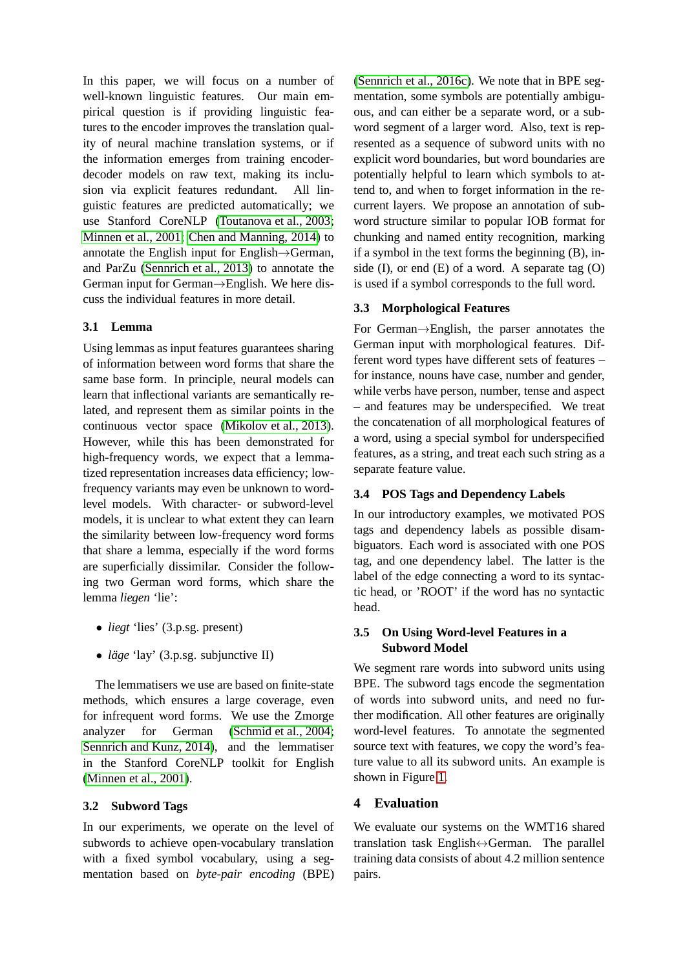In this paper, we will focus on a number of well-known linguistic features. Our main empirical question is if providing linguistic features to the encoder improves the translation quality of neural machine translation systems, or if the information emerges from training encoderdecoder models on raw text, making its inclusion via explicit features redundant. All linguistic features are predicted automatically; we use Stanford CoreNLP [\(Toutanova et al., 2003;](#page-8-0) [Minnen et al., 2001;](#page-8-1) [Chen and Manning, 2014\)](#page-7-5) to annotate the English input for English→German, and ParZu [\(Sennrich et al., 2013\)](#page-8-2) to annotate the German input for German→English. We here discuss the individual features in more detail.

### **3.1 Lemma**

Using lemmas as input features guarantees sharing of information between word forms that share the same base form. In principle, neural models can learn that inflectional variants are semantically related, and represent them as similar points in the continuous vector space [\(Mikolov et al., 2013\)](#page-7-6). However, while this has been demonstrated for high-frequency words, we expect that a lemmatized representation increases data efficiency; lowfrequency variants may even be unknown to wordlevel models. With character- or subword-level models, it is unclear to what extent they can learn the similarity between low-frequency word forms that share a lemma, especially if the word forms are superficially dissimilar. Consider the following two German word forms, which share the lemma *liegen* 'lie':

- *liegt* 'lies' (3.p.sg. present)
- *läge* 'lay' (3.p.sg. subjunctive II)

The lemmatisers we use are based on finite-state methods, which ensures a large coverage, even for infrequent word forms. We use the Zmorge analyzer for German [\(Schmid et al., 2004;](#page-8-3) [Sennrich and Kunz, 2014\)](#page-8-4), and the lemmatiser in the Stanford CoreNLP toolkit for English [\(Minnen et al., 2001\)](#page-8-1).

### <span id="page-2-1"></span>**3.2 Subword Tags**

In our experiments, we operate on the level of subwords to achieve open-vocabulary translation with a fixed symbol vocabulary, using a segmentation based on *byte-pair encoding* (BPE) [\(Sennrich et al., 2016c\)](#page-8-5). We note that in BPE segmentation, some symbols are potentially ambiguous, and can either be a separate word, or a subword segment of a larger word. Also, text is represented as a sequence of subword units with no explicit word boundaries, but word boundaries are potentially helpful to learn which symbols to attend to, and when to forget information in the recurrent layers. We propose an annotation of subword structure similar to popular IOB format for chunking and named entity recognition, marking if a symbol in the text forms the beginning (B), inside  $(I)$ , or end  $(E)$  of a word. A separate tag  $(O)$ is used if a symbol corresponds to the full word.

## **3.3 Morphological Features**

For German→English, the parser annotates the German input with morphological features. Different word types have different sets of features – for instance, nouns have case, number and gender, while verbs have person, number, tense and aspect – and features may be underspecified. We treat the concatenation of all morphological features of a word, using a special symbol for underspecified features, as a string, and treat each such string as a separate feature value.

#### **3.4 POS Tags and Dependency Labels**

In our introductory examples, we motivated POS tags and dependency labels as possible disambiguators. Each word is associated with one POS tag, and one dependency label. The latter is the label of the edge connecting a word to its syntactic head, or 'ROOT' if the word has no syntactic head.

### **3.5 On Using Word-level Features in a Subword Model**

We segment rare words into subword units using BPE. The subword tags encode the segmentation of words into subword units, and need no further modification. All other features are originally word-level features. To annotate the segmented source text with features, we copy the word's feature value to all its subword units. An example is shown in Figure [1.](#page-3-0)

### <span id="page-2-0"></span>**4 Evaluation**

We evaluate our systems on the WMT16 shared translation task English↔German. The parallel training data consists of about 4.2 million sentence pairs.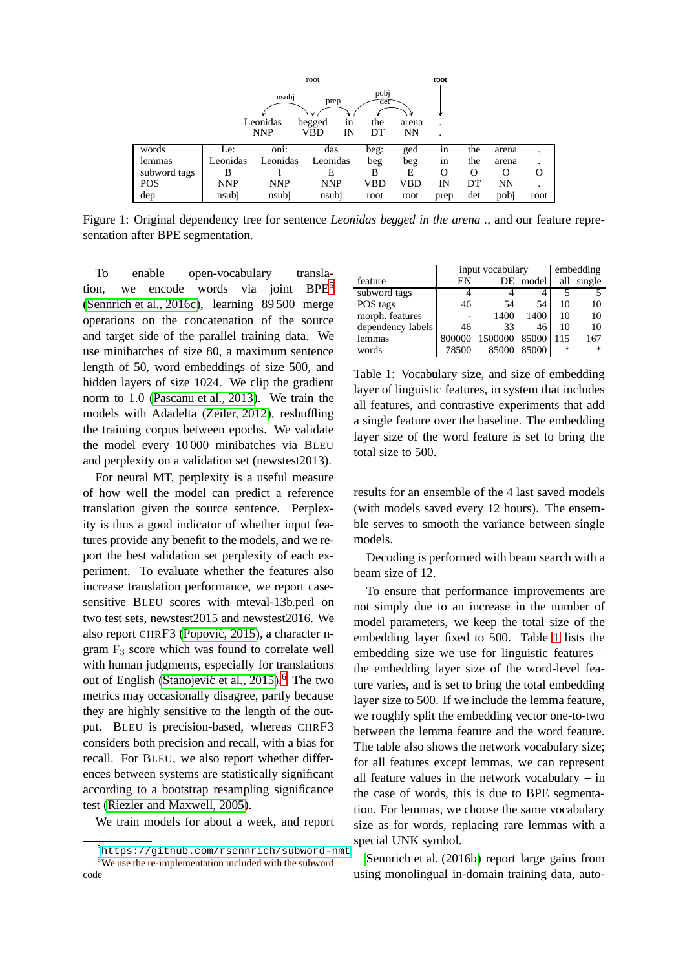|              |            |            | root         |             |       | root    |          |           |          |
|--------------|------------|------------|--------------|-------------|-------|---------|----------|-----------|----------|
|              |            | nsubj      | prep         | pobj<br>det |       |         |          |           |          |
|              |            | Leonidas   | begged<br>1n | the         | arena | $\cdot$ |          |           |          |
|              |            | <b>NNP</b> | VBD<br>IN    | DТ          | NN    | $\cdot$ |          |           |          |
|              |            |            |              |             |       |         |          |           |          |
| words        | Le:        | oni:       | das          | beg:        | ged   | in      | the      | arena     |          |
| lemmas       | Leonidas   | Leonidas   | Leonidas     | beg         | beg   | 1n      | the      | arena     |          |
| subword tags | В          |            | E            | В           | Е     | O       | $\Omega$ | O         | $\Omega$ |
| <b>POS</b>   | <b>NNP</b> | <b>NNP</b> | <b>NNP</b>   | VBD         | VBD   | IN      | DT       | <b>NN</b> |          |
| dep          | nsubj      | nsubj      | nsubj        | root        | root  | prep    | det      | pobj      | root     |

<span id="page-3-0"></span>Figure 1: Original dependency tree for sentence *Leonidas begged in the arena .*, and our feature representation after BPE segmentation.

To enable open-vocabulary transla-tion, we encode words via joint BPE<sup>[5](#page-3-1)</sup> [\(Sennrich et al., 2016c\)](#page-8-5), learning 89 500 merge operations on the concatenation of the source and target side of the parallel training data. We use minibatches of size 80, a maximum sentence length of 50, word embeddings of size 500, and hidden layers of size 1024. We clip the gradient norm to 1.0 [\(Pascanu et al., 2013\)](#page-8-6). We train the models with Adadelta [\(Zeiler, 2012\)](#page-8-7), reshuffling the training corpus between epochs. We validate the model every 10 000 minibatches via BLEU and perplexity on a validation set (newstest2013).

For neural MT, perplexity is a useful measure of how well the model can predict a reference translation given the source sentence. Perplexity is thus a good indicator of whether input features provide any benefit to the models, and we report the best validation set perplexity of each experiment. To evaluate whether the features also increase translation performance, we report casesensitive BLEU scores with mteval-13b.perl on two test sets, newstest2015 and newstest2016. We also report CHRF3 (Popović, 2015), a character ngram  $F_3$  score which was found to correlate well with human judgments, especially for translations out of English (Stanojević et al., 2015).<sup>[6](#page-3-2)</sup> The two metrics may occasionally disagree, partly because they are highly sensitive to the length of the output. BLEU is precision-based, whereas CHRF3 considers both precision and recall, with a bias for recall. For BLEU, we also report whether differences between systems are statistically significant according to a bootstrap resampling significance test [\(Riezler and Maxwell, 2005\)](#page-8-10).

We train models for about a week, and report

|                   |        | input vocabulary |       | embedding |        |  |
|-------------------|--------|------------------|-------|-----------|--------|--|
| feature           | ΕN     | DE               | model | all       | single |  |
| subword tags      |        |                  |       |           |        |  |
| POS tags          | 46     | 54               | 54    | 10        | 10     |  |
| morph. features   |        | 1400             | 1400  | 10        | 10     |  |
| dependency labels | 46     | 33               | 46    | 10        | 10     |  |
| lemmas            | 800000 | 1500000          | 85000 | 115       | 167    |  |
| words             | 78500  | 85000            | 85000 | *         | $\ast$ |  |

<span id="page-3-3"></span>Table 1: Vocabulary size, and size of embedding layer of linguistic features, in system that includes all features, and contrastive experiments that add a single feature over the baseline. The embedding layer size of the word feature is set to bring the total size to 500.

results for an ensemble of the 4 last saved models (with models saved every 12 hours). The ensemble serves to smooth the variance between single models.

Decoding is performed with beam search with a beam size of 12.

To ensure that performance improvements are not simply due to an increase in the number of model parameters, we keep the total size of the embedding layer fixed to 500. Table [1](#page-3-3) lists the embedding size we use for linguistic features – the embedding layer size of the word-level feature varies, and is set to bring the total embedding layer size to 500. If we include the lemma feature, we roughly split the embedding vector one-to-two between the lemma feature and the word feature. The table also shows the network vocabulary size; for all features except lemmas, we can represent all feature values in the network vocabulary – in the case of words, this is due to BPE segmentation. For lemmas, we choose the same vocabulary size as for words, replacing rare lemmas with a special UNK symbol.

[Sennrich et al. \(2016b\)](#page-8-11) report large gains from using monolingual in-domain training data, auto-

<span id="page-3-2"></span><span id="page-3-1"></span><sup>5</sup><https://github.com/rsennrich/subword-nmt> <sup>6</sup>We use the re-implementation included with the subword code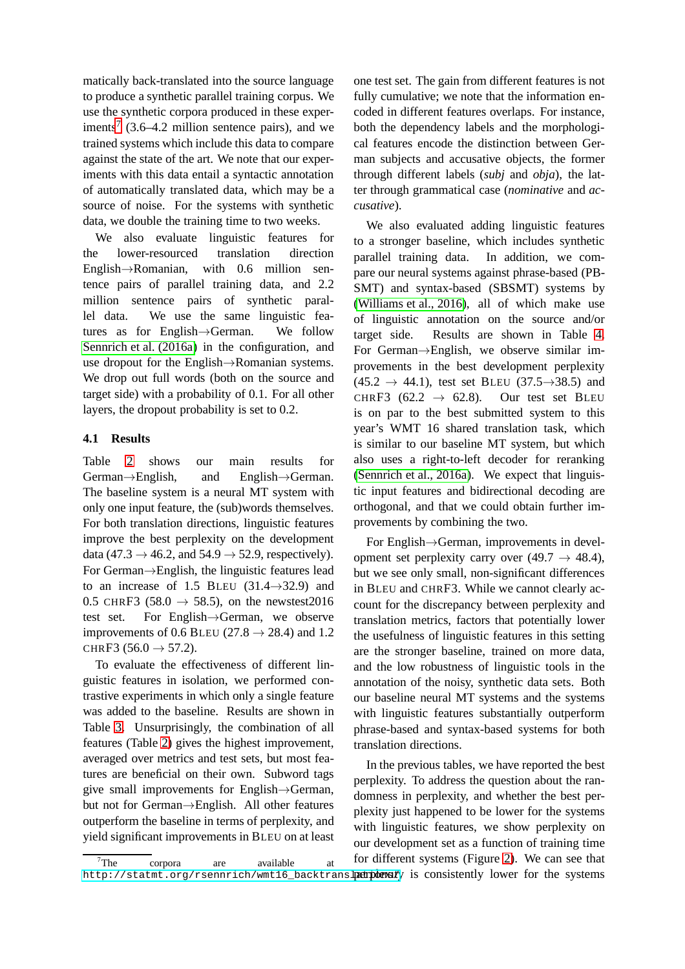matically back-translated into the source language to produce a synthetic parallel training corpus. We use the synthetic corpora produced in these exper-iments<sup>[7](#page-4-0)</sup> (3.6–4.2 million sentence pairs), and we trained systems which include this data to compare against the state of the art. We note that our experiments with this data entail a syntactic annotation of automatically translated data, which may be a source of noise. For the systems with synthetic data, we double the training time to two weeks.

We also evaluate linguistic features for the lower-resourced translation direction English→Romanian, with 0.6 million sentence pairs of parallel training data, and 2.2 million sentence pairs of synthetic parallel data. We use the same linguistic features as for English→German. We follow [Sennrich et al. \(2016a\)](#page-8-12) in the configuration, and use dropout for the English→Romanian systems. We drop out full words (both on the source and target side) with a probability of 0.1. For all other layers, the dropout probability is set to 0.2.

### **4.1 Results**

Table [2](#page-5-0) shows our main results for German→English, and English→German. The baseline system is a neural MT system with only one input feature, the (sub)words themselves. For both translation directions, linguistic features improve the best perplexity on the development data (47.3  $\rightarrow$  46.2, and 54.9  $\rightarrow$  52.9, respectively). For German→English, the linguistic features lead to an increase of 1.5 BLEU  $(31.4 \rightarrow 32.9)$  and 0.5 CHRF3 (58.0  $\rightarrow$  58.5), on the newstest2016 test set. For English→German, we observe improvements of 0.6 BLEU (27.8  $\rightarrow$  28.4) and 1.2 CHRF3  $(56.0 \rightarrow 57.2)$ .

To evaluate the effectiveness of different linguistic features in isolation, we performed contrastive experiments in which only a single feature was added to the baseline. Results are shown in Table [3.](#page-5-1) Unsurprisingly, the combination of all features (Table [2\)](#page-5-0) gives the highest improvement, averaged over metrics and test sets, but most features are beneficial on their own. Subword tags give small improvements for English→German, but not for German→English. All other features outperform the baseline in terms of perplexity, and yield significant improvements in BLEU on at least one test set. The gain from different features is not fully cumulative; we note that the information encoded in different features overlaps. For instance, both the dependency labels and the morphological features encode the distinction between German subjects and accusative objects, the former through different labels (*subj* and *obja*), the latter through grammatical case (*nominative* and *accusative*).

We also evaluated adding linguistic features to a stronger baseline, which includes synthetic parallel training data. In addition, we compare our neural systems against phrase-based (PB-SMT) and syntax-based (SBSMT) systems by [\(Williams et al., 2016\)](#page-8-13), all of which make use of linguistic annotation on the source and/or target side. Results are shown in Table [4.](#page-5-2) For German→English, we observe similar improvements in the best development perplexity  $(45.2 \rightarrow 44.1)$ , test set BLEU  $(37.5 \rightarrow 38.5)$  and CHRF3 (62.2  $\rightarrow$  62.8). Our test set BLEU is on par to the best submitted system to this year's WMT 16 shared translation task, which is similar to our baseline MT system, but which also uses a right-to-left decoder for reranking [\(Sennrich et al., 2016a\)](#page-8-12). We expect that linguistic input features and bidirectional decoding are orthogonal, and that we could obtain further improvements by combining the two.

For English→German, improvements in development set perplexity carry over  $(49.7 \rightarrow 48.4)$ , but we see only small, non-significant differences in BLEU and CHRF3. While we cannot clearly account for the discrepancy between perplexity and translation metrics, factors that potentially lower the usefulness of linguistic features in this setting are the stronger baseline, trained on more data, and the low robustness of linguistic tools in the annotation of the noisy, synthetic data sets. Both our baseline neural MT systems and the systems with linguistic features substantially outperform phrase-based and syntax-based systems for both translation directions.

In the previous tables, we have reported the best perplexity. To address the question about the randomness in perplexity, and whether the best perplexity just happened to be lower for the systems with linguistic features, we show perplexity on our development set as a function of training time for different systems (Figure [2\)](#page-6-0). We can see that

<span id="page-4-0"></span> $7$ The corpora are available at http://statmt.org/rsennrich/wmt16\_backtrans1**parplexit**y is consistently lower for the systems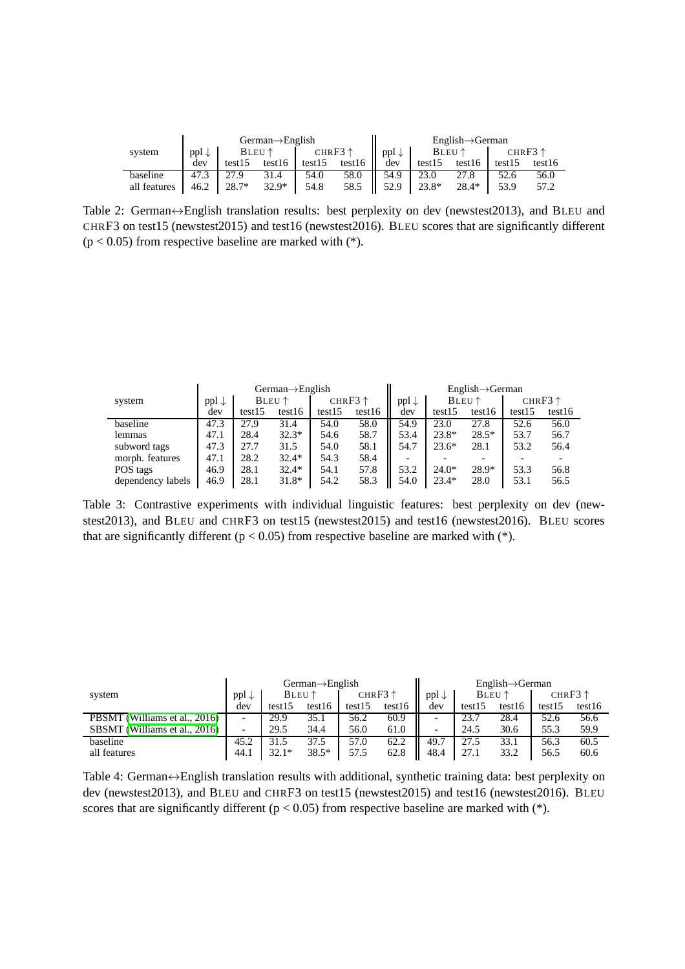|              |                  |                 | $German \rightarrow English$ |                   |        |                  |         | $Enelish \rightarrow German$ |        |                   |
|--------------|------------------|-----------------|------------------------------|-------------------|--------|------------------|---------|------------------------------|--------|-------------------|
| system       | $ppl \downarrow$ | $BLEU \uparrow$ |                              | CHR $F3 \uparrow$ |        | $ppl \downarrow$ |         | BLEU $\uparrow$              |        | CHR $F3 \uparrow$ |
|              | dev              | test15          | test16                       | test15            | test16 | dev              | test15  | test16                       | test15 | test16            |
| baseline     | 47.3             | 27.9            | 31.4                         | 54.0              | 58.0   | 54.9             | 23.0    | 27.8                         | 52.6   | 56.0              |
| all features | 46.2             | $28.7*$         | $32.9*$                      | 54.8              | 58.5   | 52.9             | $23.8*$ | $28.4*$                      | 53.9   | 57.2              |

<span id="page-5-0"></span>Table 2: German↔English translation results: best perplexity on dev (newstest2013), and BLEU and CHRF3 on test15 (newstest2015) and test16 (newstest2016). BLEU scores that are significantly different  $(p < 0.05)$  from respective baseline are marked with  $(*)$ .

|                   |                  | $German \rightarrow English$ |                 |        |                   |      |                 | $English \rightarrow German$ |        |                   |
|-------------------|------------------|------------------------------|-----------------|--------|-------------------|------|-----------------|------------------------------|--------|-------------------|
| system            | $ppl \downarrow$ |                              | $BLEU \uparrow$ |        | CHR $F3 \uparrow$ |      | $BLEU \uparrow$ |                              |        | CHR $F3 \uparrow$ |
|                   | dev              | test15                       | test16          | test15 | test16            | dev  | test15          | test16                       | test15 | test16            |
| baseline          | 47.3             | 27.9                         | 31.4            | 54.0   | 58.0              | 54.9 | 23.0            | 27.8                         | 52.6   | 56.0              |
| lemmas            | 47.1             | 28.4                         | $32.3*$         | 54.6   | 58.7              | 53.4 | $23.8*$         | $28.5*$                      | 53.7   | 56.7              |
| subword tags      | 47.3             | 27.7                         | 31.5            | 54.0   | 58.1              | 54.7 | $23.6*$         | 28.1                         | 53.2   | 56.4              |
| morph. features   | 47.1             | 28.2                         | $32.4*$         | 54.3   | 58.4              | -    |                 |                              |        |                   |
| POS tags          | 46.9             | 28.1                         | $32.4*$         | 54.1   | 57.8              | 53.2 | $24.0*$         | $28.9*$                      | 53.3   | 56.8              |
| dependency labels | 46.9             | 28.1                         | $31.8*$         | 54.2   | 58.3              | 54.0 | $23.4*$         | 28.0                         | 53.1   | 56.5              |

<span id="page-5-1"></span>Table 3: Contrastive experiments with individual linguistic features: best perplexity on dev (newstest2013), and BLEU and CHRF3 on test15 (newstest2015) and test16 (newstest2016). BLEU scores that are significantly different ( $p < 0.05$ ) from respective baseline are marked with (\*).

|                               |                          |         | $German \rightarrow English$ |        |                   |                  |        | $English \rightarrow German$ |        |                   |
|-------------------------------|--------------------------|---------|------------------------------|--------|-------------------|------------------|--------|------------------------------|--------|-------------------|
| system                        | $ppl \downarrow$         |         | $BLEU \uparrow$              |        | CHR $F3 \uparrow$ | $ppl \downarrow$ |        | $BLEU \uparrow$              |        | CHR $F3 \uparrow$ |
|                               | dev                      | test15  | test16                       | test15 | test16            | dev              | test15 | test16                       | test15 | test16            |
| PBSMT (Williams et al., 2016) | $\overline{\phantom{0}}$ | 29.9    | 35.1                         | 56.2   | 60.9              | -                | 23.    | 28.4                         | 52.6   | 56.6              |
| SBSMT (Williams et al., 2016) | $\overline{\phantom{0}}$ | 29.5    | 34.4                         | 56.0   | 61.0              | -                | 24.5   | 30.6                         | 55.3   | 59.9              |
| baseline                      | 45.2                     | 31.5    | 37.5                         | 57.0   | 62.2              | 49.7             | 27.5   | 33.1                         | 56.3   | 60.5              |
| all features                  | 44.1                     | $32.1*$ | $38.5*$                      | 57.5   | 62.8              | 48.4             | 27.1   | 33.2                         | 56.5   | 60.6              |

<span id="page-5-2"></span>Table 4: German↔English translation results with additional, synthetic training data: best perplexity on dev (newstest2013), and BLEU and CHRF3 on test15 (newstest2015) and test16 (newstest2016). BLEU scores that are significantly different ( $p < 0.05$ ) from respective baseline are marked with (\*).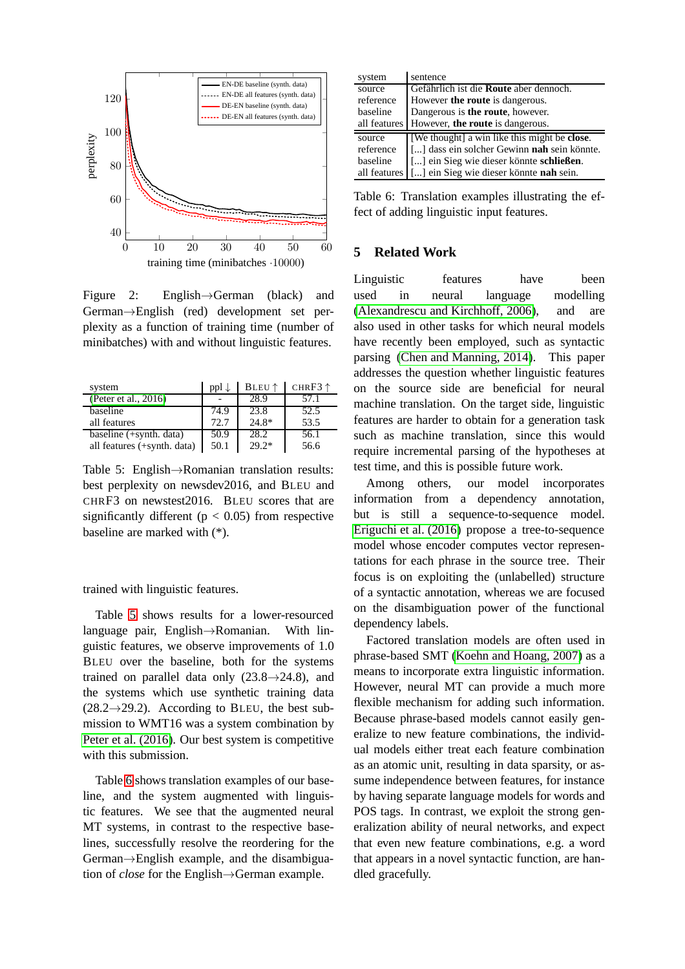

<span id="page-6-0"></span>Figure 2: English→German (black) and German→English (red) development set perplexity as a function of training time (number of minibatches) with and without linguistic features.

| system                      | $ppl \downarrow$ | BLEU <sup>↑</sup> | CHR $F3 \uparrow$ |
|-----------------------------|------------------|-------------------|-------------------|
| (Peter et al., 2016)        |                  | 28.9              | 57.1              |
| baseline                    | 74.9             | 23.8              | 52.5              |
| all features                | 72.7             | $24.8*$           | 53.5              |
| baseline (+synth. data)     | 50.9             | 28.2              | 56.1              |
| all features (+synth. data) | 50.1             | $29.2*$           | 56.6              |

<span id="page-6-1"></span>Table 5: English→Romanian translation results: best perplexity on newsdev2016, and BLEU and CHRF3 on newstest2016. BLEU scores that are significantly different ( $p < 0.05$ ) from respective baseline are marked with (\*).

trained with linguistic features.

Table [5](#page-6-1) shows results for a lower-resourced language pair, English→Romanian. With linguistic features, we observe improvements of 1.0 BLEU over the baseline, both for the systems trained on parallel data only  $(23.8 \rightarrow 24.8)$ , and the systems which use synthetic training data  $(28.2 \rightarrow 29.2)$ . According to BLEU, the best submission to WMT16 was a system combination by [Peter et al. \(2016\)](#page-8-14). Our best system is competitive with this submission.

Table [6](#page-6-2) shows translation examples of our baseline, and the system augmented with linguistic features. We see that the augmented neural MT systems, in contrast to the respective baselines, successfully resolve the reordering for the German→English example, and the disambiguation of *close* for the English→German example.

| system       | sentence                                             |
|--------------|------------------------------------------------------|
| source       | Gefährlich ist die Route aber dennoch.               |
| reference    | However the route is dangerous.                      |
| baseline     | Dangerous is the route, however.                     |
| all features | However, the route is dangerous.                     |
| source       | [We thought] a win like this might be <b>close</b> . |
| reference    | [] dass ein solcher Gewinn <b>nah</b> sein könnte.   |
| baseline     | [] ein Sieg wie dieser könnte schließen.             |
| all features | [] ein Sieg wie dieser könnte nah sein.              |

<span id="page-6-2"></span>Table 6: Translation examples illustrating the effect of adding linguistic input features.

## **5 Related Work**

Linguistic features have been used in neural language modelling [\(Alexandrescu and Kirchhoff, 2006\)](#page-7-4), and are also used in other tasks for which neural models have recently been employed, such as syntactic parsing [\(Chen and Manning, 2014\)](#page-7-5). This paper addresses the question whether linguistic features on the source side are beneficial for neural machine translation. On the target side, linguistic features are harder to obtain for a generation task such as machine translation, since this would require incremental parsing of the hypotheses at test time, and this is possible future work.

Among others, our model incorporates information from a dependency annotation, but is still a sequence-to-sequence model. [Eriguchi et al. \(2016\)](#page-7-7) propose a tree-to-sequence model whose encoder computes vector representations for each phrase in the source tree. Their focus is on exploiting the (unlabelled) structure of a syntactic annotation, whereas we are focused on the disambiguation power of the functional dependency labels.

Factored translation models are often used in phrase-based SMT [\(Koehn and Hoang, 2007\)](#page-7-8) as a means to incorporate extra linguistic information. However, neural MT can provide a much more flexible mechanism for adding such information. Because phrase-based models cannot easily generalize to new feature combinations, the individual models either treat each feature combination as an atomic unit, resulting in data sparsity, or assume independence between features, for instance by having separate language models for words and POS tags. In contrast, we exploit the strong generalization ability of neural networks, and expect that even new feature combinations, e.g. a word that appears in a novel syntactic function, are handled gracefully.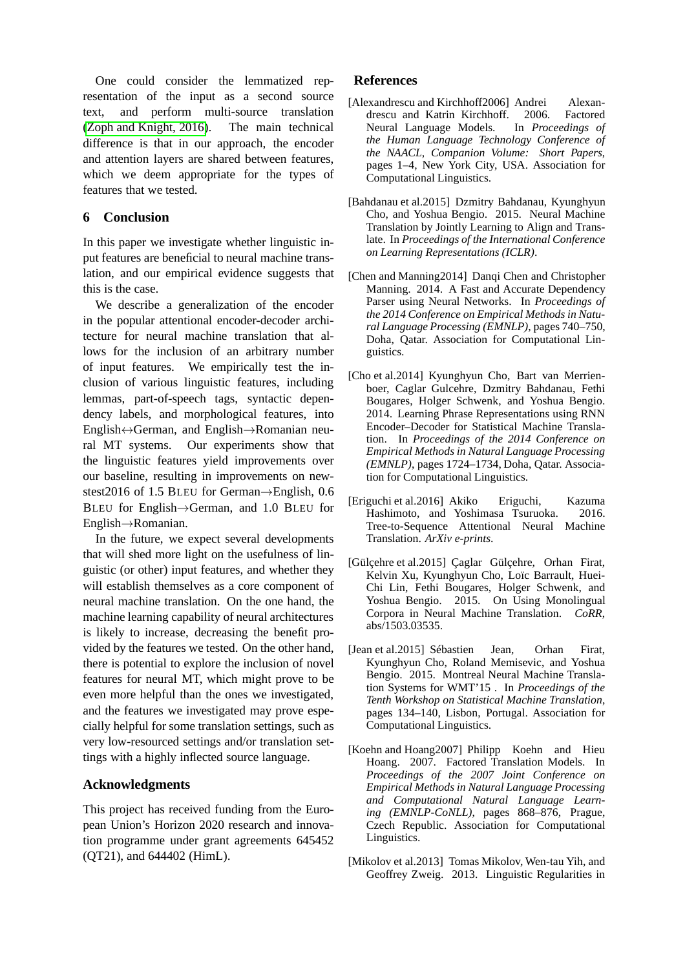One could consider the lemmatized representation of the input as a second source text, and perform multi-source translation [\(Zoph and Knight, 2016\)](#page-8-15). The main technical difference is that in our approach, the encoder and attention layers are shared between features, which we deem appropriate for the types of features that we tested.

## **6 Conclusion**

In this paper we investigate whether linguistic input features are beneficial to neural machine translation, and our empirical evidence suggests that this is the case.

We describe a generalization of the encoder in the popular attentional encoder-decoder architecture for neural machine translation that allows for the inclusion of an arbitrary number of input features. We empirically test the inclusion of various linguistic features, including lemmas, part-of-speech tags, syntactic dependency labels, and morphological features, into English↔German, and English→Romanian neural MT systems. Our experiments show that the linguistic features yield improvements over our baseline, resulting in improvements on newstest2016 of 1.5 BLEU for German→English, 0.6 BLEU for English→German, and 1.0 BLEU for English→Romanian.

In the future, we expect several developments that will shed more light on the usefulness of linguistic (or other) input features, and whether they will establish themselves as a core component of neural machine translation. On the one hand, the machine learning capability of neural architectures is likely to increase, decreasing the benefit provided by the features we tested. On the other hand, there is potential to explore the inclusion of novel features for neural MT, which might prove to be even more helpful than the ones we investigated, and the features we investigated may prove especially helpful for some translation settings, such as very low-resourced settings and/or translation settings with a highly inflected source language.

## **Acknowledgments**

This project has received funding from the European Union's Horizon 2020 research and innovation programme under grant agreements 645452 (QT21), and 644402 (HimL).

## **References**

- <span id="page-7-4"></span>[Alexandrescu and Kirchhoff2006] Andrei Alexandrescu and Katrin Kirchhoff. 2006. Factored Neural Language Models. In *Proceedings of the Human Language Technology Conference of the NAACL, Companion Volume: Short Papers*, pages 1–4, New York City, USA. Association for Computational Linguistics.
- <span id="page-7-0"></span>[Bahdanau et al.2015] Dzmitry Bahdanau, Kyunghyun Cho, and Yoshua Bengio. 2015. Neural Machine Translation by Jointly Learning to Align and Translate. In *Proceedings of the International Conference on Learning Representations (ICLR)*.
- <span id="page-7-5"></span>[Chen and Manning2014] Danqi Chen and Christopher Manning. 2014. A Fast and Accurate Dependency Parser using Neural Networks. In *Proceedings of the 2014 Conference on Empirical Methods in Natural Language Processing (EMNLP)*, pages 740–750, Doha, Qatar. Association for Computational Linguistics.
- <span id="page-7-3"></span>[Cho et al.2014] Kyunghyun Cho, Bart van Merrienboer, Caglar Gulcehre, Dzmitry Bahdanau, Fethi Bougares, Holger Schwenk, and Yoshua Bengio. 2014. Learning Phrase Representations using RNN Encoder–Decoder for Statistical Machine Translation. In *Proceedings of the 2014 Conference on Empirical Methods in Natural Language Processing (EMNLP)*, pages 1724–1734, Doha, Qatar. Association for Computational Linguistics.
- <span id="page-7-7"></span>[Eriguchi et al.2016] Akiko Eriguchi, Kazuma Hashimoto, and Yoshimasa Tsuruoka. 2016. Tree-to-Sequence Attentional Neural Machine Translation. *ArXiv e-prints*.
- <span id="page-7-2"></span>[Gülçehre et al.2015] Çaglar Gülçehre, Orhan Firat, Kelvin Xu, Kyunghyun Cho, Loïc Barrault, Huei-Chi Lin, Fethi Bougares, Holger Schwenk, and Yoshua Bengio. 2015. On Using Monolingual Corpora in Neural Machine Translation. *CoRR*, abs/1503.03535.
- <span id="page-7-1"></span>[Jean et al.2015] Sébastien Jean, Orhan Firat, Kyunghyun Cho, Roland Memisevic, and Yoshua Bengio. 2015. Montreal Neural Machine Translation Systems for WMT'15 . In *Proceedings of the Tenth Workshop on Statistical Machine Translation*, pages 134–140, Lisbon, Portugal. Association for Computational Linguistics.
- <span id="page-7-8"></span>[Koehn and Hoang2007] Philipp Koehn and Hieu Hoang. 2007. Factored Translation Models. In *Proceedings of the 2007 Joint Conference on Empirical Methods in Natural Language Processing and Computational Natural Language Learning (EMNLP-CoNLL)*, pages 868–876, Prague, Czech Republic. Association for Computational Linguistics.
- <span id="page-7-6"></span>[Mikolov et al.2013] Tomas Mikolov, Wen-tau Yih, and Geoffrey Zweig. 2013. Linguistic Regularities in